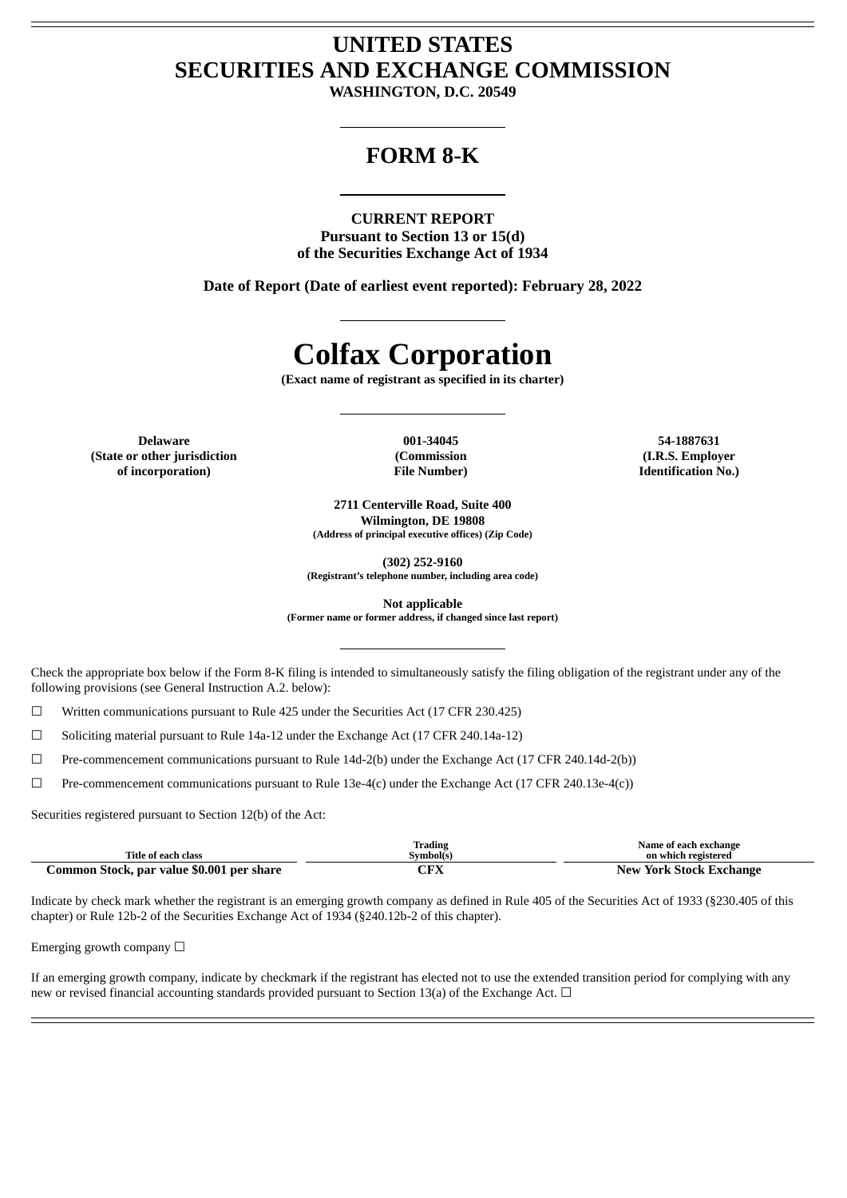# **UNITED STATES SECURITIES AND EXCHANGE COMMISSION**

**WASHINGTON, D.C. 20549**

# **FORM 8-K**

### **CURRENT REPORT**

**Pursuant to Section 13 or 15(d) of the Securities Exchange Act of 1934**

**Date of Report (Date of earliest event reported): February 28, 2022**

# **Colfax Corporation**

**(Exact name of registrant as specified in its charter)**

**Delaware 001-34045 54-1887631 (State or other jurisdiction of incorporation)**

**(Commission File Number)**

**(I.R.S. Employer Identification No.)**

**2711 Centerville Road, Suite 400 Wilmington, DE 19808 (Address of principal executive offices) (Zip Code)**

**(302) 252-9160**

**(Registrant's telephone number, including area code)**

**Not applicable**

**(Former name or former address, if changed since last report)**

Check the appropriate box below if the Form 8-K filing is intended to simultaneously satisfy the filing obligation of the registrant under any of the following provisions (see General Instruction A.2. below):

 $\Box$  Written communications pursuant to Rule 425 under the Securities Act (17 CFR 230.425)

☐ Soliciting material pursuant to Rule 14a-12 under the Exchange Act (17 CFR 240.14a-12)

☐ Pre-commencement communications pursuant to Rule 14d-2(b) under the Exchange Act (17 CFR 240.14d-2(b))

☐ Pre-commencement communications pursuant to Rule 13e-4(c) under the Exchange Act (17 CFR 240.13e-4(c))

Securities registered pursuant to Section 12(b) of the Act:

| Title of each class                       | Trading<br>Svmbol(s) | Name of each exchange<br>on which registered |
|-------------------------------------------|----------------------|----------------------------------------------|
| Common Stock, par value \$0.001 per share | ¬гv                  | <b>New York Stock Exchange</b>               |

Indicate by check mark whether the registrant is an emerging growth company as defined in Rule 405 of the Securities Act of 1933 (§230.405 of this chapter) or Rule 12b-2 of the Securities Exchange Act of 1934 (§240.12b-2 of this chapter).

Emerging growth company  $\Box$ 

If an emerging growth company, indicate by checkmark if the registrant has elected not to use the extended transition period for complying with any new or revised financial accounting standards provided pursuant to Section 13(a) of the Exchange Act.  $\Box$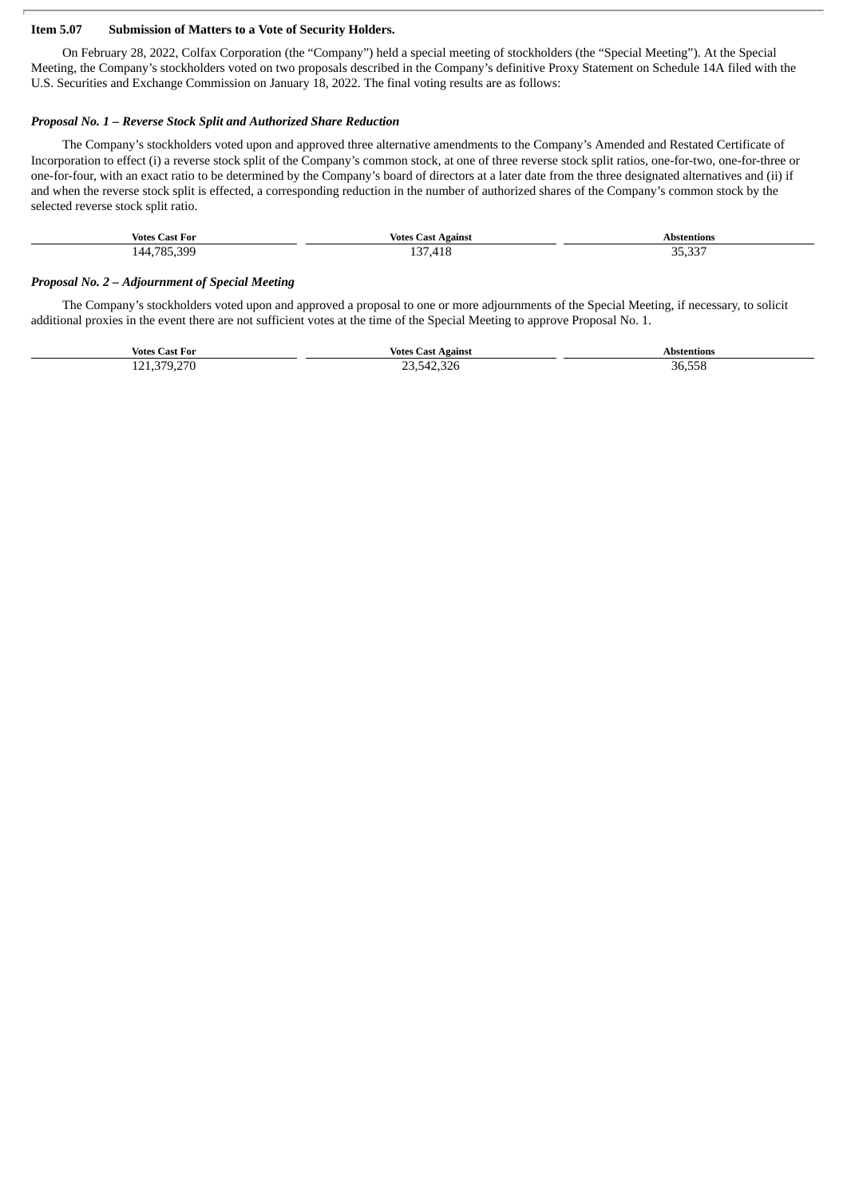#### **Item 5.07 Submission of Matters to a Vote of Security Holders.**

On February 28, 2022, Colfax Corporation (the "Company") held a special meeting of stockholders (the "Special Meeting"). At the Special Meeting, the Company's stockholders voted on two proposals described in the Company's definitive Proxy Statement on Schedule 14A filed with the U.S. Securities and Exchange Commission on January 18, 2022. The final voting results are as follows:

#### *Proposal No. 1 – Reverse Stock Split and Authorized Share Reduction*

The Company's stockholders voted upon and approved three alternative amendments to the Company's Amended and Restated Certificate of Incorporation to effect (i) a reverse stock split of the Company's common stock, at one of three reverse stock split ratios, one-for-two, one-for-three or one-for-four, with an exact ratio to be determined by the Company's board of directors at a later date from the three designated alternatives and (ii) if and when the reverse stock split is effected, a corresponding reduction in the number of authorized shares of the Company's common stock by the selected reverse stock split ratio.

| Votes<br>Last For | <b>Votes Cast Against</b> | Abstentions<br>. |
|-------------------|---------------------------|------------------|
| 785 300<br>44     | . 27<br>.418<br><b>LU</b> | 25.22<br>35.33   |

#### *Proposal No. 2 – Adjournment of Special Meeting*

The Company's stockholders voted upon and approved a proposal to one or more adjournments of the Special Meeting, if necessary, to solicit additional proxies in the event there are not sufficient votes at the time of the Special Meeting to approve Proposal No. 1.

| <b>Votes C</b><br>. Cast For                                                    | Votes<br>Agains<br>∴ast                          | Abstentions               |
|---------------------------------------------------------------------------------|--------------------------------------------------|---------------------------|
| מדר חדר<br>101<br>.<br><u>.</u><br>--<br>. .<br>the contract of the contract of | 10.000<br>-571<br>2.3Z0<br>---<br>$ -$<br>$\sim$ | 36.558<br>$\,   -$<br>- - |